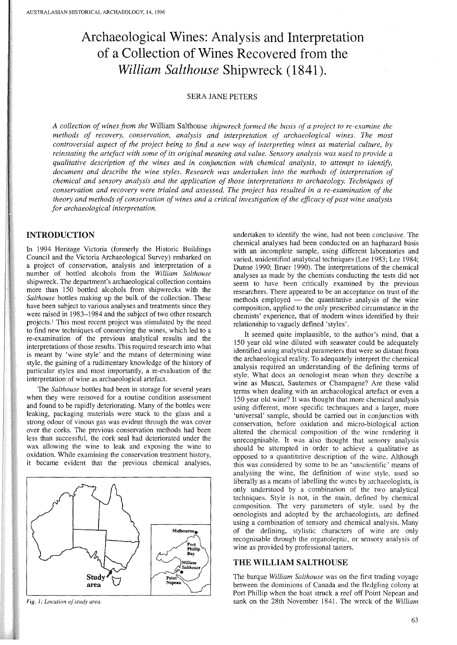# **Archaeological Wines: Analysis and Interpretation of a Collection of Wines Recovered from the** *William Salthouse* **Shipwreck (1841).**

#### SERA JANE PETERS

*A collection of wines from the* William Salthouse *shipwreck formed the basis of a project to re-examine the methods of recovery, conservation, analysis and interpretation of archaeological wines. The most* controversial aspect of the project being to find a new way of interpreting wines as material culture, by reinstating the artefact with some of its original meaning and value. Sensory analysis was used to provide a *qualitative description of the wines and in conjunction with chemical analysis, to attempt to identify, document and describe the wine styles. Research was undertaken into the methods of interpretation of chemical and sensory analysis and the application of those interpretations to archaeology. Techniques of conservation and recovery were trialed and assessed. The project has resulted in a re-examination of the theory and methods of conservation ofwines and a critical investigation of the efficacy ofpast wine analysis for archaeological interpretation.*

# **INTRODUCTION**

In 1994 Heritage Victoria (formerly the Historic Buildings Council and the Victoria Archaeological Survey) embarked on a project of conservation, analysis and interpretation of a number of bottled alcohols from the *William Salthouse* shipwreck. The department's archaeological collection contains more than 150 bottled alcohols from shipwrecks with the *Salthouse* bottles making up the bulk of the collection. These have been subject to various analyses and treatments since they were raised in 1983-1984 and the subject of two other research projects.<sup>1</sup> This most recent project was stimulated by the need to find new techniques of conserving the wines, which led to a re-examination of the previous analytical results and the interpretations of those results. This required research into what is meant by 'wine style' and the means of determining wine style, the gaining of a rudimentary knowledge of the history of particular styles and most importantly, a re-evaluation of the interpretation of wine as archaeological artefact.

The *Salthouse* bottles had been in storage for several years when they were removed for a routine condition assessment and found to be rapidly deteriorating. Many of the bottles were leaking, packaging materials were stuck to the glass and a strong odour of vinous gas was evident through the wax cover over the corks. The previous conservation methods had been less than successful, the cork seal had deteriorated under the wax allowing the wine to leak and exposing the wine to oxidation. While examining the conservation treatment history, it became evident that the previous chemical analyses,



*Fig. I: Location ofstudy area.*

undertaken to identify the wine, had not been conclusive. The chemical analyses had been conducted on an haphazard basis with an incomplete sample, using different laboratories and varied, unidentified analytical techniques (Lee 1983; Lee 1984; Dunne 1990; Bruer 1990). The interpretations of the chemical analyses as made by the chemists conducting the tests did not seem to have been critically examined by the previous researchers. There appeared to be an acceptance on trust of the  $m$ employed  $\frac{m}{m}$  the quantitative analysis of the wine composition, applied to the only prescribed circumstance in the chemists' experience, that of modem wines identified by their relationship to vaguely defined 'styles'.

It seemed quite implausible, to the author's mind, that a 150 year old wine diluted with seawater could be adequately identified using analytical parameters that were so distant from the archaeological reality. To adequately interpret the chemical analysis required an understanding of the defining terms of style. What does an oenologist mean when they describe a wine as Muscat, Sauternes or Champagne? Are these valid terms when dealing with an archaeological artefact or even a 150 year old wine? It was thought that more chemical analysis using different, more specific techniques and a larger, more 'universal' sample, should be carried out in conjunction with conservation, before oxidation and micro-biological action altered the chemical composition of the wine rendering it unrecognisable. It was also thought that sensory analysis should be attempted in order to achieve a qualitative as opposed to a quantitative description of the wine. Although this was considered by some to be an 'unscientific' means of analysing the wine, the definition of wine style, used so liberally as a means of labelling the wines by archaeologists, is only understood by a combination of the two analytical techniques. Style is not, in the main, defined by chemical composition. The very parameters of style, used by the oenologists and adopted by the archaeologists, are defined using a combination of sensory and chemical analysis. Many of the defining, stylistic characters of wine are only recognisable through the organoleptic, or sensory analysis of wine as provided by professional tasters.

# **THE WILLIAM SALTHOUSE**

The barque *William Salthouse* was on the first trading voyage between the dominions of Canada and the fledgling colony at Port Phillip when the boat struck a reef off Point Nepean and sank on the 28th November 1841. The wreck of the *William*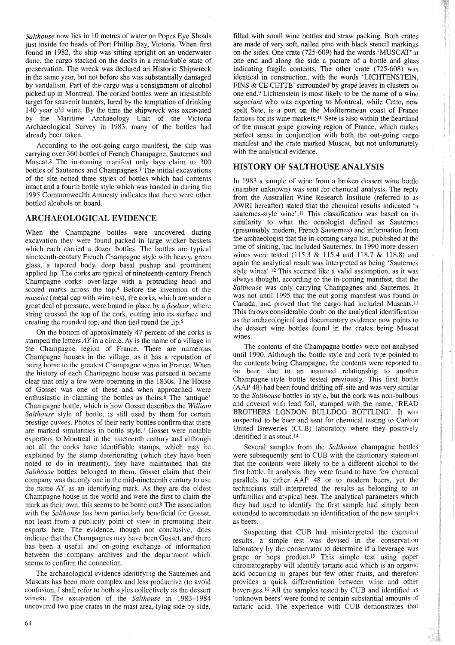*Salthouse* now lies in 10 metres of water on Popes Eye Shoals just inside the heads of Port Phillip Bay, Victoria. When first found in 1982, the ship was sitting upright on an underwater dune; the cargo stacked on the decks in a remarkable state of preservation. The wreck was declared an Historic Shipwreck in the same year, but not before she was substantially damaged by vandalism. Part of the cargo was a consignment of alcohol picked up in Montreal. The corked bottles were an irresistible target for souvenir hunters, lured by the temptation of drinking 140 year old wine. By the time the shipwreck was excavated by the Maritime Archaeology Unit of the Victoria Archaeological Survey in 1983, many of the bottles had already been taken.

According to the out-going cargo manifest, the ship was carrying over 360 bottles of French Champagne, Sauternes and Muscat.2 The in-coming manifest only lays claim to 300 bottles of Sauternes and Champagnes.3 The initial excavations of the site netted three styles of bottles which had contents intact and a fourth bottle style which was handed in during the 1995 Commonwealth Amnesty indicates that there were other bottled alcohols on board.

#### ARCHAEOLOGICAL EVIDENCE

When the Champagne bottles were uncovered during excavation they were found packed in large wicker baskets which each carried a dozen bottles. The bottles are typical nineteenth-century French Champagne style with heavy, green glass, a tapered body, deep basal pushup and prominent applied lip. The corks are typical of nineteenth-century French Champagne corks: over-large with a protruding head and scored marks across the top.4 Before the invention of the *muselet* (metal cap with wire ties), the corks, which are under a great deal of pressure, were bound in place by a *ficeleur*, where string crossed the top of the cork, cutting into its surface and creating the rounded top, and then tied round the lip.5

On the bottom of approximately 47 percent of the corks is stamped the letters *AY* in a circle. Ay is the name of a village in the Champagne region of France. There are numerous Champagne houses in the village, as it has a reputation of being home to the greatest Champagne wines in France. When the history of each Champagne house was pursued it became clear that only a few were operating in the 1830s. The House of Gosset was one of these and when approached were enthusiastic in claiming the bottles as theirs.6 The 'antique' Champagne bottle, which is how Gosset describes the *William Salthouse* style of bottle, is still used by them for certain prestige cuvees. Photos of their early bottles confirm that there are marked similarities in bottle style.? Gosset were notable exporters to Montreal in the nineteenth century and although not all the corks have identifiable stamps, which may be explained by the stamp deteriorating (which they have been noted to do in treatment), they have maintained that the *Salthouse* bottles belonged to them. Gosset claim that their company was the only one in the mid-nineteenth century to use the name AY as an identifying mark. As they are the oldest Champagne house in the world and were the first to claim the mark as their own, this seems to be borne out.8 The association with the *Salthouse* has been particularly beneficial for Gosset, not least from a publicity point of view in promoting their exports here. The evidence, though not conclusive, does indicate that the Champagnes may have been Gosset, and there has been a useful and on-going exchange of information between the company archives and the department which seems to confirm the connection.

The archaeological evidence identifying the Sauternes and Muscats has been more complex and less productive (to avoid confusion, I shall refer to both styles collectively as the dessert wines). The excavation of the *Salthouse* in 1983-1984 uncovered two pine crates in the mast area, lying side by side,

filled with small wine bottles and straw packing. Both crates are made of very soft, nailed pine with black stencil markings on the sides. One crate (725-609) had the words 'MUSCAT' at one end and along the side a picture of a bottle and glass indicating fragile contents. The other crate (725-608) was identical in construction, with the words 'LICHTENSTEIN, FINS & CE CETTE' surrounded by grape leaves in clusters on one end.9 Lichtenstein is most likely to be the name of a wine *negociant* who was exporting to Montreal, while Cette, now spelt Sete, is a port on the Mediterranean coast of France famous for its wine markets.<sup>10</sup> Sete is also within the heartland of the muscat grape growing region of France, which makes perfect sense in conjunction with both the out-going cargo manifest and the crate marked Muscat, but not unfortunately with the analytical evidence.

# HISTORY OF SALTHOUSE ANALYSIS

In 1983 a sample of wine from a broken dessert wine bottle (number unknown) was sent for chemical analysis. The reply from the Australian Wine Research Institute (referred to as AWRI hereafter) stated that the chemical results indicated 'a sauternes-style wine'.<sup>11</sup> This classification was based on its similarity to what the oenologist defined as Sauternes (presumably modem, French Sauternes) and information from the archaeologist that the in-coming cargo list, published at the time of sinking, had included Sauternes. In 1990 more dessert wines were tested (115.3 & 115.4 and 118.7 & 118.8) and again the analytical result was interpreted as being 'Sauternes style wines',12 This seemed like a valid assumption, as it was always thought, according to the in-coming manifest, that the *Salthouse* was only carrying Champagnes and Sauternes. It was not until 1995 that the out-going manifest was found in Canada, and proved that the cargo had included Muscats. <sup>13</sup> This throws considerable doubt on the analytical identification as the archaeological and documentary evidence now points to the dessert wine bottles found in the crates being Muscat wines.

The contents of the Champagne bottles were not analysed until 1990. Although the bottle style and cork type pointed to the contents being Champagne, the contents were reported to be beer, due to an assumed relationship to another Champagne-style bottle tested previously. This first bottle (AAP 48) had been found drifting off-site and was very similar to the *Salthouse* bottles in style, but the cork was non-bulbous and covered with lead foil, stamped with the name, 'READ BROTHERS LONDON BULLDOG BOTTLING'. It was suspected to be beer and sent for chemical testing to Carlton United Breweries (CUB) laboratory where they positively identified it as stout. <sup>14</sup>

Several samples from the *Salthouse* champagne bottles were subsequently sent to CUB with the cautionary statement that the contents were likely to be a different alcohol to the first bottle. In analysis, they were found to have few chemical parallels to either AAP 48 or to modem beers, yet the technicians still interpreted the results as belonging to an unfamiliar and atypical beer. The analytical parameters which they had used to identify the first sample had simply been extended to accommodate an identification of the new samples as beers.

Suspecting that CUB had misinterpreted the chemical results, a simple test was devised in the conservation laboratory by the conservator to determine if a beverage was grape or hops product.<sup>15</sup> This simple test using paper chromatography will identify tartaric acid which is an organic acid occurring in grapes but few other fruits, and therefore provides a quick differentiation between wine and other beverages. <sup>16</sup> All the samples tested by CUB and identified as 'unknown beers' were found to contain substantial amounts of tartaric acid. The experience with CUB demonstrates that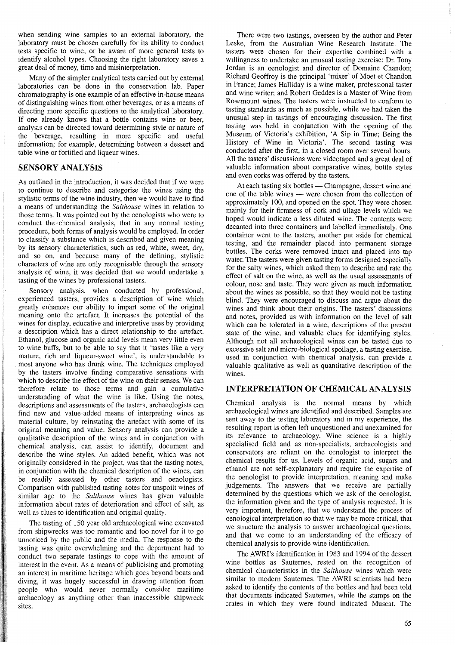when sending wine samples to an extemal laboratory, the laboratory must be chosen carefully for its ability to conduct tests specific to wine, or be aware of more general tests to identify alcohol types. Choosing the right laboratory saves a great deal of money, time and misinterpretation.

Many of the simpler analytical tests carried out by external laboratories can be done in the conservation lab. Paper chromatography is one example of an effective in-house means of distinguishing wines from other beverages, or as a means of directing more specific questions to the analytical laboratory. If one already knows that a bottle contains wine or beer, analysis can be directed toward determining style or nature of the beverage, resulting in more specific and useful information; for example, determining between a dessert and table wine or fortified and liqueur wines.

### SENSORY ANALYSIS

As outlined in the introduction, it was decided that if we were to continue to describe and categorise the wines using the stylistic terms of the wine industry, then we would have to find a means of understanding the *Salthouse* wines in relation to those terms. It was pointed out by the oenologists who were to conduct the chemical analysis, that in any normal testing procedure, both forms of analysis would be employed. In order to classify a substance which is described and given meaning by its sensory characteristics, such as red, white, sweet, dry, and so on, and because many of the defining, stylistic characters of wine are only recognisable through the sensory analysis of wine, it was decided that we would undertake a tasting of the wines by professional tasters.

Sensory analysis, when conducted by professional, experienced tasters, provides a description of wine which greatly enhances our ability to impart some of the original meaning onto the artefact. It increases the potential of the wines for display, educative and interpretive uses by providing a description which has a direct relationship to the artefact. Ethanol, glucose and organic acid levels mean very little even to wine buffs, but to be able to say that it 'tastes like a very mature, rich and liqueur-sweet wine', is understandable to most anyone who has drunk wine. The techniques employed by the tasters involve finding comparative sensations with which to describe the effect of the wine on their senses. We can therefore relate to those terms and gain a cumulative understanding of what the wine is like. Using the notes, descriptions and assessments of the tasters, archaeologists can find new and value-added means of interpreting wines as material culture, by reinstating the artefact with some of its original meaning and value. Sensory analysis can provide a qualitative description of the wines and in conjunction with chemical analysis, can assist to identify, document and describe the wine styles. An added benefit, which was not originally considered in the project, was that the tasting notes, in conjunction with the chemical description of the wines, can be readily assessed by other tasters and oenologists. Comparison with published tasting notes for unspoilt wines of similar age to the *Salthouse* wines has given valuable information about rates of deterioration and effect of salt, as well as clues to identification and original quality.

The tasting of 150 year old archaeological wine excavated from shipwrecks was too romantic and too novel for it to go unnoticed by the public and the media. The response to the tasting was quite overwhelming and the department had to conduct two separate tastings to cope with the amount of interest in the event. As a means of publicising and promoting an interest in maritime heritage which goes beyond boats and diving, it was hugely successful in drawing attention from people who would never normally consider maritime archaeology as anything other than inaccessible shipwreck sites.

There were two tastings, overseen by the author and Peter Leske, from the Australian Wine Research Institute. The tasters were chosen for their expertise combined with a willingness to undertake an unusual tasting exercise: Dr. Tony Jordan is an oenologist and director of Domaine Chandon; Richard Geoffroy is the principal 'mixer' of Moet et Chandon in France; James Halliday is a wine maker, professional taster and wine writer; and Robert Geddes is a Master of Wine from Rosemount wines. The tasters were instructed to conform to tasting standards as much as possible, while we had taken the unusual step in tastings of encouraging discussion. The first tasting was held in conjunction with the opening of the Museum of Victoria's exhibition, 'A Sip in Time; Being the History of Wine in Victoria'. The second tasting was conducted after the first, in a closed room over several hours. All the tasters' discussions were videotaped and a great deal of valuable information about comparative wines, bottle styles and even corks was offered by the tasters.

At each tasting six bottles - Champagne, dessert wine and one of the table wines - were chosen from the collection of approximately 100, and opened on the spot. They were chosen mainly for their firmness of cork and ullage levels which we hoped would indicate a less diluted wine. The contents were decanted into three containers and labelled immediately. One container went to the tasters, another put aside for chemical testing, and the remainder placed into permanent storage bottles. The corks were removed intact and placed into tap water. The tasters were given tasting forms designed especially for the salty wines, which asked them to describe and rate the effect of salt on the wine, as well as the usual assessments of colour, nose and taste. They were given as much information about the wines as possible, so that they would not be tasting blind. They were encouraged to discuss and argue about the wines and think about their origins. The tasters' discussions and notes, provided us with information on the level of salt which can be tolerated in a wine, descriptions of the present state of the wine, and valuable clues for identifying styles. Although not all archaeological wines can be tasted due to excessive salt and micro-biological spoilage, a tasting exercise, used in conjunction with chemical analysis, can provide a valuable qualitative as well as quantitative description of the wines.

# INTERPRETATION OF CHEMICAL ANALYSIS

Chemical analysis is the normal means by which archaeological wines are identified and described. Samples are sent away to the testing laboratory and in my experience, the resulting report is often left unquestioned and unexamined for its relevance to archaeology. Wine science is a highly specialised field and as non-specialists, archaeologists and conservators are reliant on the oenologist to interpret the chemical results for us. Levels of organic acid, sugars and ethanol are not self-explanatory and require the expertise of the oenologist to provide interpretation, meaning and make judgements. The answers that we receive are partially determined by the questions which we ask of the oenologist, the information given and the type of analysis requested. It is very important, therefore, that we understand the process of oenological interpretation so that we may be more critical, that we structure the analysis to answer archaeological questions, and that we come to an understanding of the efficacy of chemical analysis to provide wine identification.

The AWRI's identification in 1983 and 1994 of the dessert wine bottles as Sauternes, rested on the recognition of chemical characteristics in the *Salthouse* wines which were similar to modem Sauternes. The AWRI scientists had been asked to identify the contents of the bottles and had been told that documents indicated Sauternes, while the stamps on the crates in which they were found indicated Muscat. The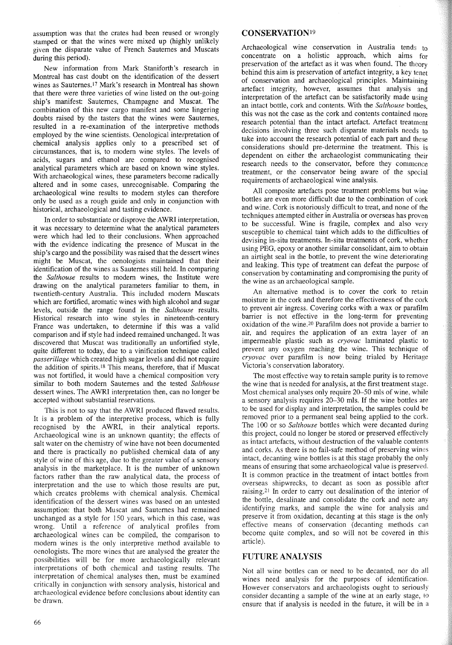assumption was that the crates had been reused or wrongly stamped or that the wines were mixed up (highly unlikely given the disparate value of French Sauternes and Muscats during this period).

New information from Mark Staniforth's research in Montreal has cast doubt on the identification of the dessert wines as Sauternes.<sup>17</sup> Mark's research in Montreal has shown that there were three varieties of wine listed on the out-going ship's manifest: Sauternes, Champagne and Muscat. The combination of this new cargo manifest and some lingering doubts raised by the tasters that the wines were Sauternes, resulted in a re-examination of the interpretive methods employed by the wine scientists. Oenological interpretation of chemical analysis applies only to a prescribed set of circumstances, that is, to modem wine styles. The levels of acids, sugars and ethanol are compared to recognised analytical parameters which are based on known wine styles. With archaeological wines, these parameters become radically altered and in some cases, unrecognisable. Comparing the archaeological wine results to modem styles can therefore only be used as a rough guide and only in conjunction with historical, archaeological and tasting evidence.

In order to substantiate or disprove the AWRI interpretation, it was necessary to determine what the analytical parameters were which had led to their conclusions. When approached with the evidence indicating the presence of Muscat in the ship's cargo and the possibility was raised that the dessert wines might be Muscat, the oenologists maintained that their identification of the wines as Sauternes still held. In comparing the *Salthouse* results to modem wines, the Institute were drawing on the analytical parameters familiar to them, in twentieth-century Australia. This included modem Muscats which are fortified, aromatic wines with high alcohol and sugar levels, outside the range found in the *Salthouse* results. Historical research into wine styles in nineteenth-century France was undertaken, to determine if this was a valid comparison and if style had indeed remained unchanged. It was discovered that Muscat was traditionally an unfortified style, quite different to today, due to a vinification technique called *passerillage* which created high sugar levels and did not require the addition of spirits.<sup>18</sup> This means, therefore, that if Muscat was not fortified, it would have a chemical composition very similar to both modem Sauternes and the tested *Salthouse* dessert wines. The AWRI interpretation then, can no longer be accepted without substantial reservations.

This is not to say that the AWRI produced flawed results. It is a problem of the interpretive process, which is fully recognised by the AWRI, in their analytical reports. Archaeological wine is an unknown quantity; the effects of salt water on the chemistry of wine have not been documented and there is practically no published chemical data of any style of wine of this age, due to the greater value of a sensory analysis in the marketplace. It is the number of unknown factors rather than the raw analytical data, the process of interpretation and the use to which those results are put, which creates problems with chemical analysis. Chemical identification of the dessert wines was based on an untested assumption: that both Muscat and Sauternes had remained unchanged as a style for 150 years, which in this case, was wrong. Until a reference of analytical profiles from archaeological wines can be compiled, the comparison to modem wines is the only interpretive method available to oenologists. The more wines that are analysed the greater the possibilities will be for more archaeologically relevant interpretations of both chemical and tasting results. The interpretation of chemical analyses then, must be examined critically in conjunction with sensory analysis, historical and archaeological evidence before conclusions about identity can be drawn.

#### CONSERVATION19

Archaeological wine conservation in Australia tends to concentrate on a holistic approach, which aims for preservation of the artefact as it was when found. The theory behind this aim is preservation of artefact integrity, a key tenet of conservation and archaeological principles. Maintaining artefact integrity, however, assumes that analysis and interpretation of the artefact can be satisfactorily made using an intact bottle, cork and contents. With the *Salthouse* bottles this was not the case as the cork and contents contained more research potential than the intact artefact. Artefact treatment decisions involving three such disparate materials needs to take into account the research potential of each part and these considerations should pre-determine the treatment. This is dependent on either the archaeologist communicating their research needs to the conservator, before they commence treatment, or the conservator being aware of the special requirements of archaeological wine analysis.

All composite artefacts pose treatment problems but wine bottles are even more difficult due to the combination of cork and wine. Cork is notoriously difficult to treat, and none of the techniques attempted either in Australia or overseas has proven to be successful. Wine is fragile, complex and also very susceptible to chemical taint which adds to the difficulties of devising in-situ treatments. In-situ treatments of cork, whether using PEG, epoxy or another similar consolidant, aim to obtain an airtight seal in the bottle, to prevent the wine deteriorating and leaking. This type of treatment can defeat the purpose of conservation by contaminating and compromising the purity of the wine as an archaeological sample.

An alternative method is to cover the cork to retain moisture in the cork and therefore the effectiveness of the cork to prevent air ingress. Covering corks with a wax or parafilm barrier is not effective in the long-term for preventing oxidation of the wine.20 Parafilm does not provide a barrier to air, and requires the application of an extra layer of an impermeable plastic such as *cryovac* laminated plastic to prevent any oxygen reaching the wine. This technique of *cryovac* over parafilm is now being trialed by Heritage Victoria's conservation laboratory.

The most effective way to retain sample purity is to remove the wine that is needed for analysis, at the first treatment stage. Most chemical analyses only require *20-50* mls of wine, while a sensory analysis requires 20-30 mls. If the wine bottles are to be used for display and interpretation, the samples could be removed prior to a permanent seal being applied to the cork. The 100 or so *Salthouse* bottles which were decanted during this project, could no longer be stored or preserved effectively as intact artefacts, without destruction of the valuable contents and corks. As there is no fail-safe method of preserving wines intact, decanting wine bottles is at this stage probably the only means of ensuring that some archaeological value is preserved. It is common practice in the treatment of intact bottles from overseas shipwrecks, to decant as soon as possible after raising. <sup>21</sup> In order to carry out desalination of the interior of the bottle, desalinate and consolidate the cork and note any identifying marks, and sample the wine for analysis and preserve it from oxidation, decanting at this stage is the only effective means of conservation (decanting methods can become quite complex, and so will not be covered in this article).

# **FUTURE** ANALYSIS

Not all wine bottles can or need to be decanted, nor do all wines need analysis for the purposes of identification. However conservators and archaeologists ought to seriously consider decanting a sample of the wine at an early stage, to ensure that if analysis is needed in the future, it will be in a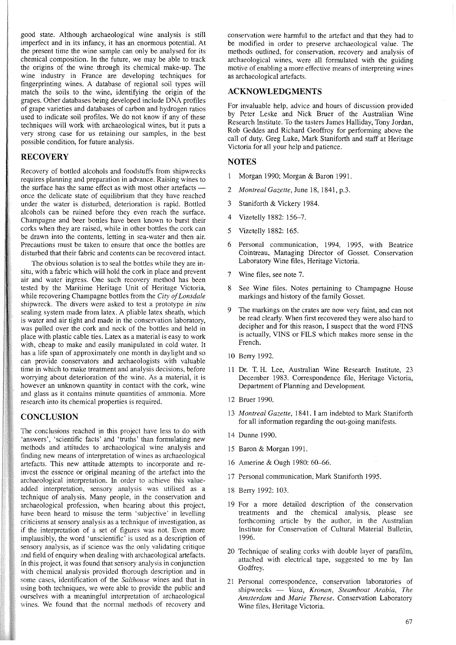good state. Although archaeological wine analysis is still imperfect and in its infancy, it has an enormous potential. At the present time the wine sample can only be analysed for its chemical composition. In the future, we may be able to track the origins of the wine through its chemical make-up. The wine industry in France are developing techniques for fingerprinting wines. A database of regional soil types will match the soils to the wine, identifying the origin of the grapes. Other databases being developed include DNA profiles of grape varieties and databases of carbon and hydrogen ratios used to indicate soil profiles. We do not know if any of these techniques will work with archaeological wines, but it puts a very strong case for us retaining our samples, in the best possible condition, for future analysis.

# **RECOVERY**

Recovery of bottled alcohols and foodstuffs from shipwrecks requires planning and preparation in advance. Raising wines to the surface has the same effect as with most other artefacts once the delicate state of equilibrium that they have reached under the water is disturbed, deterioration is rapid. Bottled alcohols can be ruined before they even reach the surface. Champagne and beer bottles have been known to burst their corks when they are raised, while in other bottles the cork can be drawn into the contents, letting in sea-water and then air. Precautions must be taken to ensure that once the bottles are disturbed that their fabric and contents can be recovered intact.

The obvious solution is to seal the bottles while they are insitu, with a fabric which will hold the cork in place and prevent air and water ingress. One such recovery method has been tested by the Maritime Heritage Unit of Heritage Victoria, while recovering Champagne bottles from the *City of Lonsdale* shipwreck. The divers were asked to test a prototype *in situ* sealing system made from latex. A pliable latex sheath, which is water and air tight and made in the conservation laboratory, was pulled over the cork and neck of the bottles and held in place with plastic cable ties. Latex as a material is easy to work with, cheap to make and easily manipulated in cold water. It has a life span of approximately one month in daylight and so can provide conservators and archaeologists with valuable time in which to make treatment and analysis decisions, before worrying about deterioration of the wine. As a material, it is however an unknown quantity in contact with the cork, wine and glass as it contains minute quantities of ammonia. More research into its chemical properties is required.

#### **CONCLUSION**

The conclusions reached in this project have less to do with 'answers', 'scientific facts' and 'truths' than formulating new methods and attitudes to archaeological wine analysis and finding new means of interpretation of wines as archaeological artefacts. This new attitude attempts to incorporate and reinvest the essence or original meaning of the artefact into the archaeological interpretation. In order to achieve this valueadded interpretation, sensory analysis was utilised as a technique of analysis. Many people, in the conservation and archaeological profession, when hearing about this project, have been heard to misuse the term 'subjective' in levelling criticisms at sensory analysis as a technique of investigation, as if the interpretation of a set of figures was not. Even more implausibly, the word 'unscientific' is used as a description of sensory analysis, as if science was the only validating critique and field of enquiry when dealing with archaeological artefacts. In this project, it was found that sensory analysis in conjunction with chemical analysis provided thorough description and in some cases, identification of the *Salthouse* wines and that in using both techniques, we were able to provide the public and ourselves with a meaningful interpretation of archaeological wines. We found that the normal methods of recovery and

conservation were harmful to the artefact and that they had to be modified in order to preserve archaeological value. The methods outlined, for conservation, recovery and analysis of archaeological wines, were all formulated with the guiding motive of enabling a more effective means of interpreting wines as archaeological artefacts.

# ACKNOWLEDGMENTS

For invaluable help, advice and hours of discussion provided by Peter Leske and Nick Bruer of the Australian Wine Research Institute. To the tasters James Halliday, Tony Jordan, Rob Geddes and Richard Geoffroy for performing above the call of duty. Greg Luke, Mark Staniforth and staff at Heritage Victoria for all your help and patience.

# **NOTES**

- Morgan 1990; Morgan & Baron 1991.
- *2 Montreal Gazette,* June 18, 1841, p.3.
- 3 Staniforth & Vickery 1984.
- 4 Vizetelly 1882: 156-7.
- 5 Vizetelly 1882: 165.
- 6 Personal communication, 1994, 1995, with Beatrice Cointreau, Managing Director of Gosset. Conservation Laboratory Wine files, Heritage Victoria.
- 7 Wine files, see note 7.
- 8 See Wine files. Notes pertaining to Champagne House markings and history of the family Gosset.
- 9 The markings on the crates are now very faint, and can not be read clearly. When first recovered they were also hard to decipher and for this reason, I suspect that the word FINS is actually, VINS or FILS which makes more sense in the French.
- 10 Berry 1992.
- 11 Dr. T. H. Lee, Australian Wine Research Institute, 23 December 1983. Correspondence file, Heritage Victoria, Department of Planning and Development.
- 12 Bruer 1990.
- *13 Montreal Gazette,* 1841. I am indebted to Mark Staniforth for all information regarding the out-going manifests.
- 14 Dunne 1990.
- 15 Baron & Morgan 1991.
- 16 Amerine & Ough 1980: 60-66.
- 17 Personal communication, Mark Staniforth 1995.
- 18 Berry 1992: 103.
- 19 For a more detailed description of the conservation treatments and the chemical analysis, please see forthcoming article by the author, in the Australian Institute for Conservation of Cultural Material BuIletin, 1996.
- 20 Technique of sealing corks with double layer of parafilm, attached with electrical tape, suggested to me by Ian Godfrey.
- 21 Personal correspondence, conservation laboratories of shipwrecks - *Vasa, Kronan, Steamboat Arabia, The Amsterdam* and *Marie Therese.* Conservation Laboratory Wine files, Heritage Victoria.